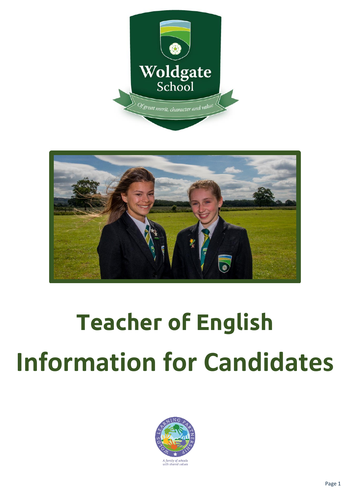



# **Teacher of English Information for Candidates**

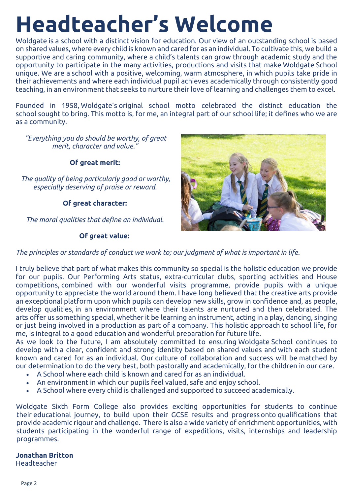# **Headteacher's Welcome**

Woldgate is a school with a distinct vision for education. Our view of an outstanding school is based on shared values, where every child is known and cared for as an individual. To cultivate this, we build a supportive and caring community, where a child's talents can grow through academic study and the opportunity to participate in the many activities, productions and visits that make Woldgate School unique. We are a school with a positive, welcoming, warm atmosphere, in which pupils take pride in their achievements and where each individual pupil achieves academically through consistently good teaching, in an environment that seeks to nurture their love of learning and challenges them to excel.

Founded in 1958, Woldgate's original school motto celebrated the distinct education the school sought to bring. This motto is, for me, an integral part of our school life; it defines who we are as a community.

*"Everything you do should be worthy, of great merit, character and value."*

**Of great merit:**

*The quality of being particularly good or worthy, especially deserving of praise or reward.*

**Of great character:**

*The moral qualities that define an individual.*

## **Of great value:**



*The principles or standards of conduct we work to; our judgment of what is important in life.*

I truly believe that part of what makes this community so special is the holistic education we provide for our pupils. Our Performing Arts status, extra-curricular clubs, sporting activities and House competitions, combined with our wonderful visits programme, provide pupils with a unique opportunity to appreciate the world around them. I have long believed that the creative arts provide an exceptional platform upon which pupils can develop new skills, grow in confidence and, as people, develop qualities, in an environment where their talents are nurtured and then celebrated. The arts offer us something special, whether it be learning an instrument, acting in a play, dancing, singing or just being involved in a production as part of a company. This holistic approach to school life, for me, is integral to a good education and wonderful preparation for future life.

As we look to the future, I am absolutely committed to ensuring Woldgate School continues to develop with a clear, confident and strong identity based on shared values and with each student known and cared for as an individual. Our culture of collaboration and success will be matched by our determination to do the very best, both pastorally and academically, for the children in our care.

- A School where each child is known and cared for as an individual.
- An environment in which our pupils feel valued, safe and enjoy school.
- A School where every child is challenged and supported to succeed academically.

Woldgate Sixth Form College also provides exciting opportunities for students to continue their educational journey, to build upon their GCSE results and progress onto qualifications that provide academic rigour and challenge**.** There is also a wide variety of enrichment opportunities, with students participating in the wonderful range of expeditions, visits, internships and leadership programmes.

## **Jonathan Britton**

Headteacher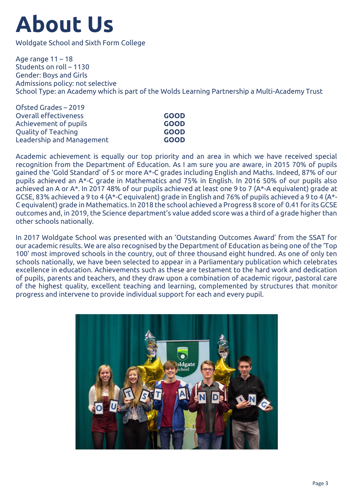# **About Us**

Woldgate School and Sixth Form College

Age range 11 – 18 Students on roll – 1130 Gender: Boys and Girls Admissions policy: not selective School Type: an Academy which is part of the Wolds Learning Partnership a Multi-Academy Trust

| Ofsted Grades - 2019      |             |
|---------------------------|-------------|
| Overall effectiveness     | <b>GOOD</b> |
| Achievement of pupils     | <b>GOOD</b> |
| Quality of Teaching       | <b>GOOD</b> |
| Leadership and Management | <b>GOOD</b> |
|                           |             |

Academic achievement is equally our top priority and an area in which we have received special recognition from the Department of Education. As I am sure you are aware, in 2015 70% of pupils gained the 'Gold Standard' of 5 or more A\*-C grades including English and Maths. Indeed, 87% of our pupils achieved an A\*-C grade in Mathematics and 75% in English. In 2016 50% of our pupils also achieved an A or A\*. In 2017 48% of our pupils achieved at least one 9 to 7 (A\*-A equivalent) grade at GCSE, 83% achieved a 9 to 4 (A\*-C equivalent) grade in English and 76% of pupils achieved a 9 to 4 (A\*- C equivalent) grade in Mathematics. In 2018 the school achieved a Progress 8 score of 0.41 for its GCSE outcomes and, in 2019, the Science department's value added score was a third of a grade higher than other schools nationally.

In 2017 Woldgate School was presented with an 'Outstanding Outcomes Award' from the SSAT for our academic results. We are also recognised by the Department of Education as being one of the 'Top 100' most improved schools in the country, out of three thousand eight hundred. As one of only ten schools nationally, we have been selected to appear in a Parliamentary publication which celebrates excellence in education. Achievements such as these are testament to the hard work and dedication of pupils, parents and teachers, and they draw upon a combination of academic rigour, pastoral care of the highest quality, excellent teaching and learning, complemented by structures that monitor progress and intervene to provide individual support for each and every pupil.

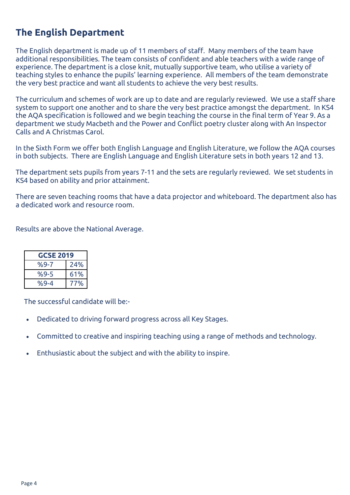## **The English Department**

The English department is made up of 11 members of staff. Many members of the team have additional responsibilities. The team consists of confident and able teachers with a wide range of experience. The department is a close knit, mutually supportive team, who utilise a variety of teaching styles to enhance the pupils' learning experience. All members of the team demonstrate the very best practice and want all students to achieve the very best results.

The curriculum and schemes of work are up to date and are regularly reviewed. We use a staff share system to support one another and to share the very best practice amongst the department. In KS4 the AQA specification is followed and we begin teaching the course in the final term of Year 9. As a department we study Macbeth and the Power and Conflict poetry cluster along with An Inspector Calls and A Christmas Carol.

In the Sixth Form we offer both English Language and English Literature, we follow the AQA courses in both subjects. There are English Language and English Literature sets in both years 12 and 13.

The department sets pupils from years 7-11 and the sets are regularly reviewed. We set students in KS4 based on ability and prior attainment.

There are seven teaching rooms that have a data projector and whiteboard. The department also has a dedicated work and resource room.

Results are above the National Average.

| <b>GCSE 2019</b> |     |  |
|------------------|-----|--|
| %9-7             | 24% |  |
| $%9-5$           | 61% |  |
| $%9 - 4$         | 77% |  |

The successful candidate will be:-

- Dedicated to driving forward progress across all Key Stages.
- Committed to creative and inspiring teaching using a range of methods and technology.
- Enthusiastic about the subject and with the ability to inspire.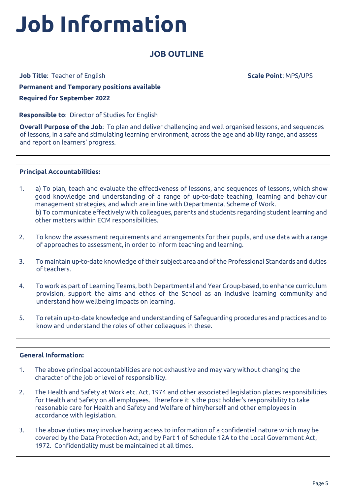# **Job Information**

## **JOB OUTLINE**

**Job Title**: Teacher of English

**Scale Point**: MPS/UPS

**Permanent and Temporary positions available Required for September 2022**

**Responsible to**: Director of Studies for English

**Overall Purpose of the Job**: To plan and deliver challenging and well organised lessons, and sequences of lessons, in a safe and stimulating learning environment, across the age and ability range, and assess and report on learners' progress.

## **Principal Accountabilities:**

- 1. a) To plan, teach and evaluate the effectiveness of lessons, and sequences of lessons, which show good knowledge and understanding of a range of up-to-date teaching, learning and behaviour management strategies, and which are in line with Departmental Scheme of Work. b) To communicate effectively with colleagues, parents and students regarding student learning and other matters within ECM responsibilities.
- 2. To know the assessment requirements and arrangements for their pupils, and use data with a range of approaches to assessment, in order to inform teaching and learning.
- 3. To maintain up-to-date knowledge of their subject area and of the Professional Standards and duties of teachers.
- 4. To work as part of Learning Teams, both Departmental and Year Group-based, to enhance curriculum provision, support the aims and ethos of the School as an inclusive learning community and understand how wellbeing impacts on learning.
- 5. To retain up-to-date knowledge and understanding of Safeguarding procedures and practices and to know and understand the roles of other colleagues in these.

## **General Information:**

- 1. The above principal accountabilities are not exhaustive and may vary without changing the character of the job or level of responsibility.
- 2. The Health and Safety at Work etc. Act, 1974 and other associated legislation places responsibilities for Health and Safety on all employees. Therefore it is the post holder's responsibility to take reasonable care for Health and Safety and Welfare of him/herself and other employees in accordance with legislation.
- 3. The above duties may involve having access to information of a confidential nature which may be covered by the Data Protection Act, and by Part 1 of Schedule 12A to the Local Government Act, 1972. Confidentiality must be maintained at all times.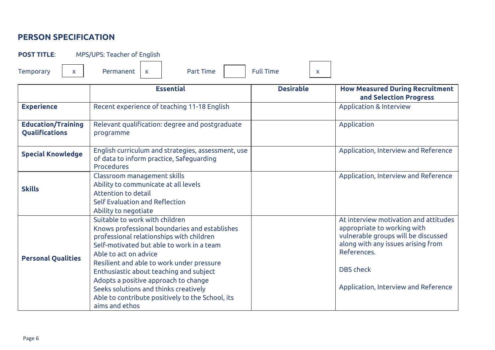## **PERSON SPECIFICATION**

**POST TITLE**: MPS/UPS: Teacher of English

Temporary  $x \mid x$  Permanent  $x \mid x$  Part Time Full Time  $x$ 

|                                             | <b>Essential</b>                                                                                                                                                                                                                                                                                                                                                                                                                                 | <b>Desirable</b> | <b>How Measured During Recruitment</b><br>and Selection Progress                                                                                                                                                             |
|---------------------------------------------|--------------------------------------------------------------------------------------------------------------------------------------------------------------------------------------------------------------------------------------------------------------------------------------------------------------------------------------------------------------------------------------------------------------------------------------------------|------------------|------------------------------------------------------------------------------------------------------------------------------------------------------------------------------------------------------------------------------|
| <b>Experience</b>                           | Recent experience of teaching 11-18 English                                                                                                                                                                                                                                                                                                                                                                                                      |                  | <b>Application &amp; Interview</b>                                                                                                                                                                                           |
| <b>Education/Training</b><br>Qualifications | Relevant qualification: degree and postgraduate<br>programme                                                                                                                                                                                                                                                                                                                                                                                     |                  | Application                                                                                                                                                                                                                  |
| <b>Special Knowledge</b>                    | English curriculum and strategies, assessment, use<br>of data to inform practice, Safeguarding<br><b>Procedures</b>                                                                                                                                                                                                                                                                                                                              |                  | Application, Interview and Reference                                                                                                                                                                                         |
| <b>Skills</b>                               | Classroom management skills<br>Ability to communicate at all levels<br>Attention to detail<br>Self Evaluation and Reflection<br>Ability to negotiate                                                                                                                                                                                                                                                                                             |                  | Application, Interview and Reference                                                                                                                                                                                         |
| <b>Personal Qualities</b>                   | Suitable to work with children<br>Knows professional boundaries and establishes<br>professional relationships with children<br>Self-motivated but able to work in a team<br>Able to act on advice<br>Resilient and able to work under pressure<br>Enthusiastic about teaching and subject<br>Adopts a positive approach to change<br>Seeks solutions and thinks creatively<br>Able to contribute positively to the School, its<br>aims and ethos |                  | At interview motivation and attitudes<br>appropriate to working with<br>vulnerable groups will be discussed<br>along with any issues arising from<br>References.<br><b>DBS</b> check<br>Application, Interview and Reference |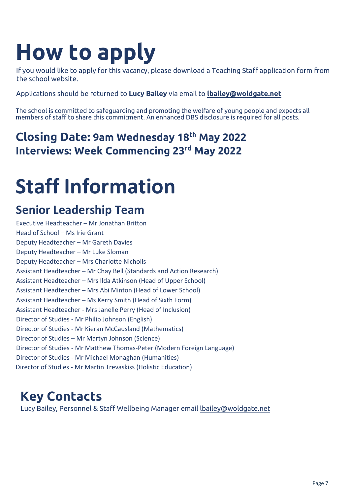# **How to apply**

If you would like to apply for this vacancy, please download a Teaching Staff application form from the school website.

Applications should be returned to **Lucy Bailey** via email to **[lbailey@woldgate.net](mailto:lbailey@woldgate.net)**

The school is committed to safeguarding and promoting the welfare of young people and expects all members of staff to share this commitment. An enhanced DBS disclosure is required for all posts.

## **Closing Date: 9am Wednesday 18th May 2022 Interviews: Week Commencing 23rd May 2022**

## **Staff Information**

## **Senior Leadership Team**

Executive Headteacher – Mr Jonathan Britton Head of School – Ms Irie Grant Deputy Headteacher – Mr Gareth Davies Deputy Headteacher – Mr Luke Sloman Deputy Headteacher – Mrs Charlotte Nicholls Assistant Headteacher – Mr Chay Bell (Standards and Action Research) Assistant Headteacher – Mrs Ilda Atkinson (Head of Upper School) Assistant Headteacher – Mrs Abi Minton (Head of Lower School) Assistant Headteacher – Ms Kerry Smith (Head of Sixth Form) Assistant Headteacher - Mrs Janelle Perry (Head of Inclusion) Director of Studies - Mr Philip Johnson (English) Director of Studies - Mr Kieran McCausland (Mathematics) Director of Studies – Mr Martyn Johnson (Science) Director of Studies - Mr Matthew Thomas-Peter (Modern Foreign Language) Director of Studies - Mr Michael Monaghan (Humanities) Director of Studies - Mr Martin Trevaskiss (Holistic Education)

## **Key Contacts**

Lucy Bailey, Personnel & Staff Wellbeing Manager email [lbailey@woldgate.net](mailto:lbailey@woldgate.net)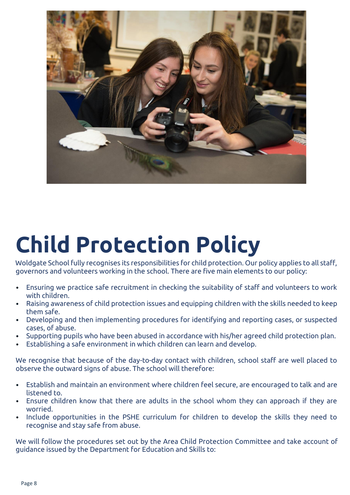

# **Child Protection Policy**

Woldgate School fully recognises its responsibilities for child protection. Our policy applies to all staff, governors and volunteers working in the school. There are five main elements to our policy:

- Ensuring we practice safe recruitment in checking the suitability of staff and volunteers to work with children.
- Raising awareness of child protection issues and equipping children with the skills needed to keep them safe.
- Developing and then implementing procedures for identifying and reporting cases, or suspected cases, of abuse.
- Supporting pupils who have been abused in accordance with his/her agreed child protection plan.
- Establishing a safe environment in which children can learn and develop.

We recognise that because of the day-to-day contact with children, school staff are well placed to observe the outward signs of abuse. The school will therefore:

- Establish and maintain an environment where children feel secure, are encouraged to talk and are listened to.
- Ensure children know that there are adults in the school whom they can approach if they are worried.
- Include opportunities in the PSHE curriculum for children to develop the skills they need to recognise and stay safe from abuse.

We will follow the procedures set out by the Area Child Protection Committee and take account of guidance issued by the Department for Education and Skills to: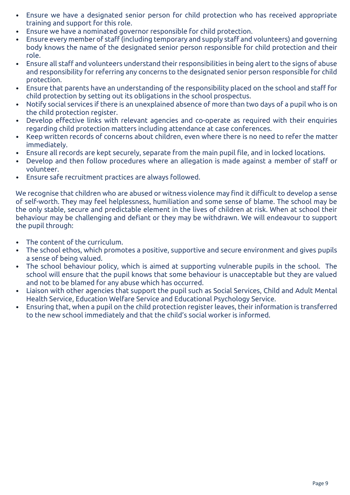- Ensure we have a designated senior person for child protection who has received appropriate training and support for this role.
- Ensure we have a nominated governor responsible for child protection.
- Ensure every member of staff (including temporary and supply staff and volunteers) and governing body knows the name of the designated senior person responsible for child protection and their role.
- Ensure all staff and volunteers understand their responsibilities in being alert to the signs of abuse and responsibility for referring any concerns to the designated senior person responsible for child protection.
- Ensure that parents have an understanding of the responsibility placed on the school and staff for child protection by setting out its obligations in the school prospectus.
- Notify social services if there is an unexplained absence of more than two days of a pupil who is on the child protection register.
- Develop effective links with relevant agencies and co-operate as required with their enquiries regarding child protection matters including attendance at case conferences.
- Keep written records of concerns about children, even where there is no need to refer the matter immediately.
- Ensure all records are kept securely, separate from the main pupil file, and in locked locations.
- Develop and then follow procedures where an allegation is made against a member of staff or volunteer.
- Ensure safe recruitment practices are always followed.

We recognise that children who are abused or witness violence may find it difficult to develop a sense of self-worth. They may feel helplessness, humiliation and some sense of blame. The school may be the only stable, secure and predictable element in the lives of children at risk. When at school their behaviour may be challenging and defiant or they may be withdrawn. We will endeavour to support the pupil through:

- The content of the curriculum.
- The school ethos, which promotes a positive, supportive and secure environment and gives pupils a sense of being valued.
- The school behaviour policy, which is aimed at supporting vulnerable pupils in the school. The school will ensure that the pupil knows that some behaviour is unacceptable but they are valued and not to be blamed for any abuse which has occurred.
- Liaison with other agencies that support the pupil such as Social Services, Child and Adult Mental Health Service, Education Welfare Service and Educational Psychology Service.
- Ensuring that, when a pupil on the child protection register leaves, their information is transferred to the new school immediately and that the child's social worker is informed.